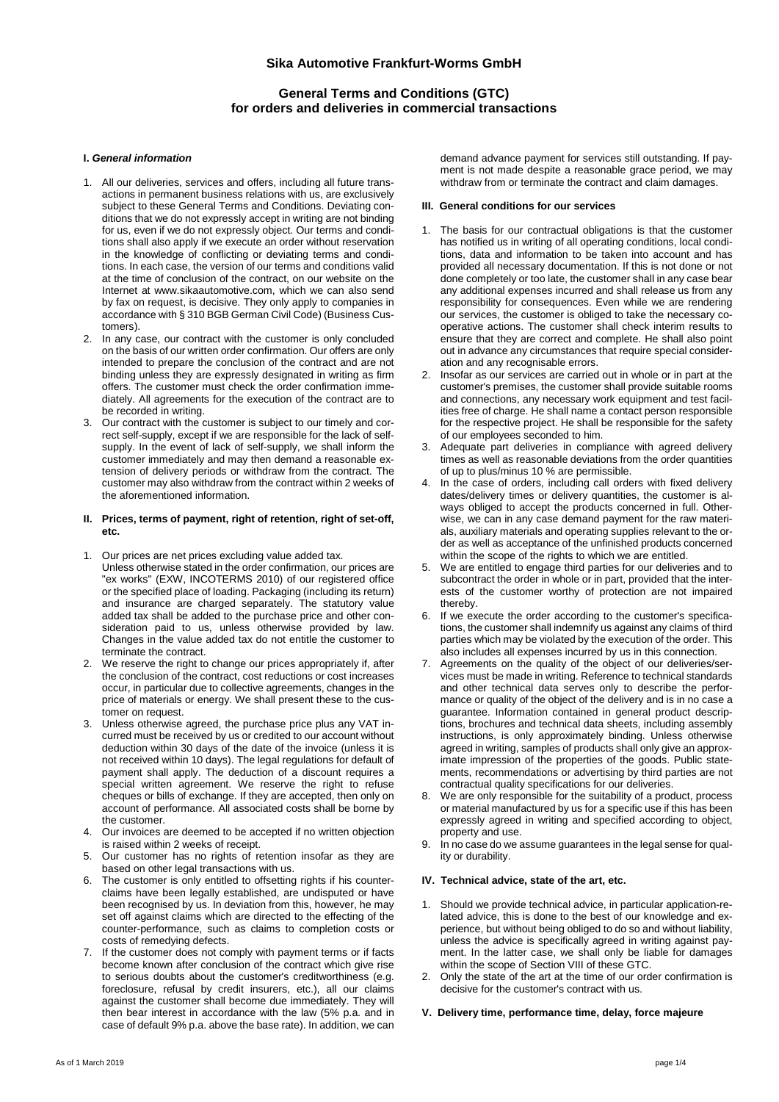# **Sika Automotive Frankfurt-Worms GmbH**

# **General Terms and Conditions (GTC) for orders and deliveries in commercial transactions**

## **I.** *General information*

- 1. All our deliveries, services and offers, including all future transactions in permanent business relations with us, are exclusively subject to these General Terms and Conditions. Deviating conditions that we do not expressly accept in writing are not binding for us, even if we do not expressly object. Our terms and conditions shall also apply if we execute an order without reservation in the knowledge of conflicting or deviating terms and conditions. In each case, the version of our terms and conditions valid at the time of conclusion of the contract, on our website on the Internet at www.sikaautomotive.com, which we can also send by fax on request, is decisive. They only apply to companies in accordance with § 310 BGB German Civil Code) (Business Customers).
- 2. In any case, our contract with the customer is only concluded on the basis of our written order confirmation. Our offers are only intended to prepare the conclusion of the contract and are not binding unless they are expressly designated in writing as firm offers. The customer must check the order confirmation immediately. All agreements for the execution of the contract are to be recorded in writing.
- 3. Our contract with the customer is subject to our timely and correct self-supply, except if we are responsible for the lack of selfsupply. In the event of lack of self-supply, we shall inform the customer immediately and may then demand a reasonable extension of delivery periods or withdraw from the contract. The customer may also withdraw from the contract within 2 weeks of the aforementioned information.

### **II. Prices, terms of payment, right of retention, right of set-off, etc.**

- 1. Our prices are net prices excluding value added tax. Unless otherwise stated in the order confirmation, our prices are "ex works" (EXW, INCOTERMS 2010) of our registered office or the specified place of loading. Packaging (including its return) and insurance are charged separately. The statutory value added tax shall be added to the purchase price and other consideration paid to us, unless otherwise provided by law. Changes in the value added tax do not entitle the customer to terminate the contract.
- 2. We reserve the right to change our prices appropriately if, after the conclusion of the contract, cost reductions or cost increases occur, in particular due to collective agreements, changes in the price of materials or energy. We shall present these to the customer on request.
- 3. Unless otherwise agreed, the purchase price plus any VAT incurred must be received by us or credited to our account without deduction within 30 days of the date of the invoice (unless it is not received within 10 days). The legal regulations for default of payment shall apply. The deduction of a discount requires a special written agreement. We reserve the right to refuse cheques or bills of exchange. If they are accepted, then only on account of performance. All associated costs shall be borne by the customer.
- 4. Our invoices are deemed to be accepted if no written objection is raised within 2 weeks of receipt.
- 5. Our customer has no rights of retention insofar as they are based on other legal transactions with us.
- The customer is only entitled to offsetting rights if his counterclaims have been legally established, are undisputed or have been recognised by us. In deviation from this, however, he may set off against claims which are directed to the effecting of the counter-performance, such as claims to completion costs or costs of remedying defects.
- 7. If the customer does not comply with payment terms or if facts become known after conclusion of the contract which give rise to serious doubts about the customer's creditworthiness (e.g. foreclosure, refusal by credit insurers, etc.), all our claims against the customer shall become due immediately. They will then bear interest in accordance with the law (5% p.a. and in case of default 9% p.a. above the base rate). In addition, we can

demand advance payment for services still outstanding. If payment is not made despite a reasonable grace period, we may withdraw from or terminate the contract and claim damages.

## **III. General conditions for our services**

- 1. The basis for our contractual obligations is that the customer has notified us in writing of all operating conditions, local conditions, data and information to be taken into account and has provided all necessary documentation. If this is not done or not done completely or too late, the customer shall in any case bear any additional expenses incurred and shall release us from any responsibility for consequences. Even while we are rendering our services, the customer is obliged to take the necessary cooperative actions. The customer shall check interim results to ensure that they are correct and complete. He shall also point out in advance any circumstances that require special consideration and any recognisable errors.
- 2. Insofar as our services are carried out in whole or in part at the customer's premises, the customer shall provide suitable rooms and connections, any necessary work equipment and test facilities free of charge. He shall name a contact person responsible for the respective project. He shall be responsible for the safety of our employees seconded to him.
- Adequate part deliveries in compliance with agreed delivery times as well as reasonable deviations from the order quantities of up to plus/minus 10 % are permissible.
- In the case of orders, including call orders with fixed delivery dates/delivery times or delivery quantities, the customer is always obliged to accept the products concerned in full. Otherwise, we can in any case demand payment for the raw materials, auxiliary materials and operating supplies relevant to the order as well as acceptance of the unfinished products concerned within the scope of the rights to which we are entitled.
- We are entitled to engage third parties for our deliveries and to subcontract the order in whole or in part, provided that the interests of the customer worthy of protection are not impaired thereby.
- 6. If we execute the order according to the customer's specifications, the customer shall indemnify us against any claims of third parties which may be violated by the execution of the order. This also includes all expenses incurred by us in this connection.
- 7. Agreements on the quality of the object of our deliveries/services must be made in writing. Reference to technical standards and other technical data serves only to describe the performance or quality of the object of the delivery and is in no case a guarantee. Information contained in general product descriptions, brochures and technical data sheets, including assembly instructions, is only approximately binding. Unless otherwise agreed in writing, samples of products shall only give an approximate impression of the properties of the goods. Public statements, recommendations or advertising by third parties are not contractual quality specifications for our deliveries.
- 8. We are only responsible for the suitability of a product, process or material manufactured by us for a specific use if this has been expressly agreed in writing and specified according to object, property and use.
- In no case do we assume guarantees in the legal sense for quality or durability.

#### **IV. Technical advice, state of the art, etc.**

- 1. Should we provide technical advice, in particular application-related advice, this is done to the best of our knowledge and experience, but without being obliged to do so and without liability, unless the advice is specifically agreed in writing against payment. In the latter case, we shall only be liable for damages within the scope of Section VIII of these GTC.
- 2. Only the state of the art at the time of our order confirmation is decisive for the customer's contract with us.

### **V. Delivery time, performance time, delay, force majeure**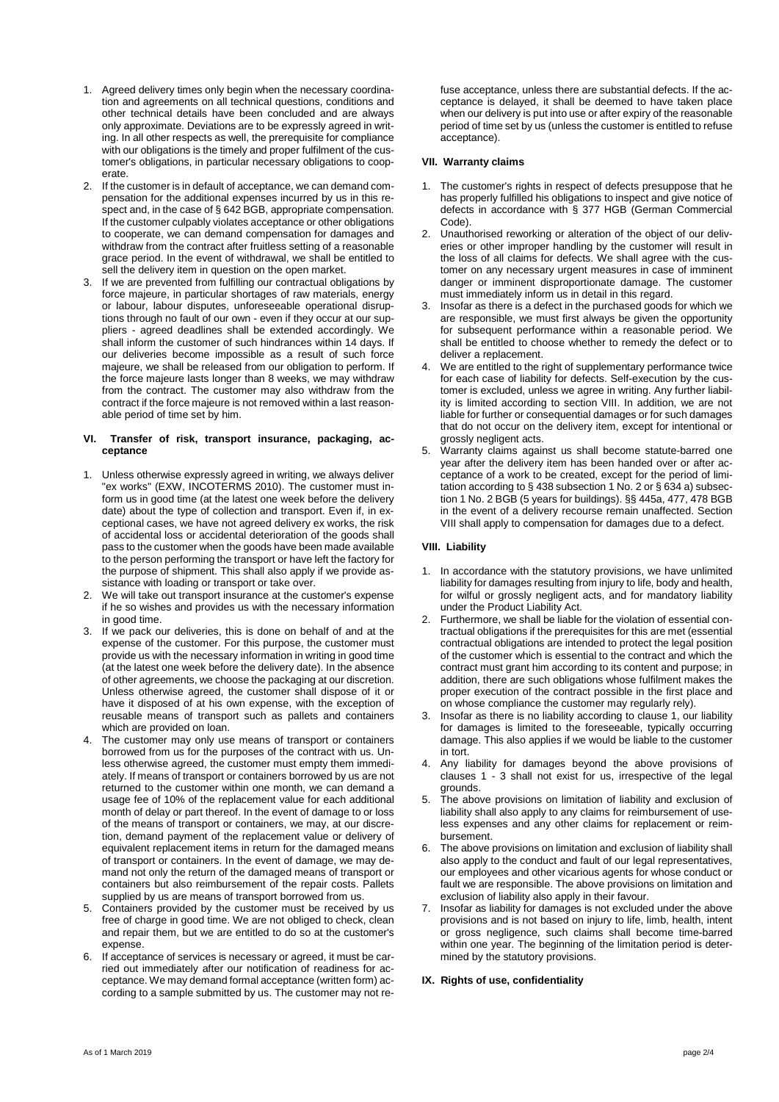- 1. Agreed delivery times only begin when the necessary coordination and agreements on all technical questions, conditions and other technical details have been concluded and are always only approximate. Deviations are to be expressly agreed in writing. In all other respects as well, the prerequisite for compliance with our obligations is the timely and proper fulfilment of the customer's obligations, in particular necessary obligations to cooperate.
- 2. If the customer is in default of acceptance, we can demand compensation for the additional expenses incurred by us in this respect and, in the case of § 642 BGB, appropriate compensation. If the customer culpably violates acceptance or other obligations to cooperate, we can demand compensation for damages and withdraw from the contract after fruitless setting of a reasonable grace period. In the event of withdrawal, we shall be entitled to sell the delivery item in question on the open market.
- 3. If we are prevented from fulfilling our contractual obligations by force majeure, in particular shortages of raw materials, energy or labour, labour disputes, unforeseeable operational disruptions through no fault of our own - even if they occur at our suppliers - agreed deadlines shall be extended accordingly. We shall inform the customer of such hindrances within 14 days. If our deliveries become impossible as a result of such force majeure, we shall be released from our obligation to perform. If the force majeure lasts longer than 8 weeks, we may withdraw from the contract. The customer may also withdraw from the contract if the force majeure is not removed within a last reasonable period of time set by him.

## **VI. Transfer of risk, transport insurance, packaging, acceptance**

- 1. Unless otherwise expressly agreed in writing, we always deliver "ex works" (EXW, INCOTERMS 2010). The customer must inform us in good time (at the latest one week before the delivery date) about the type of collection and transport. Even if, in exceptional cases, we have not agreed delivery ex works, the risk of accidental loss or accidental deterioration of the goods shall pass to the customer when the goods have been made available to the person performing the transport or have left the factory for the purpose of shipment. This shall also apply if we provide assistance with loading or transport or take over.
- 2. We will take out transport insurance at the customer's expense if he so wishes and provides us with the necessary information in good time.
- 3. If we pack our deliveries, this is done on behalf of and at the expense of the customer. For this purpose, the customer must provide us with the necessary information in writing in good time (at the latest one week before the delivery date). In the absence of other agreements, we choose the packaging at our discretion. Unless otherwise agreed, the customer shall dispose of it or have it disposed of at his own expense, with the exception of reusable means of transport such as pallets and containers which are provided on loan.
- 4. The customer may only use means of transport or containers borrowed from us for the purposes of the contract with us. Unless otherwise agreed, the customer must empty them immediately. If means of transport or containers borrowed by us are not returned to the customer within one month, we can demand a usage fee of 10% of the replacement value for each additional month of delay or part thereof. In the event of damage to or loss of the means of transport or containers, we may, at our discretion, demand payment of the replacement value or delivery of equivalent replacement items in return for the damaged means of transport or containers. In the event of damage, we may demand not only the return of the damaged means of transport or containers but also reimbursement of the repair costs. Pallets supplied by us are means of transport borrowed from us.
- 5. Containers provided by the customer must be received by us free of charge in good time. We are not obliged to check, clean and repair them, but we are entitled to do so at the customer's expense.
- 6. If acceptance of services is necessary or agreed, it must be carried out immediately after our notification of readiness for acceptance. We may demand formal acceptance (written form) according to a sample submitted by us. The customer may not re-

fuse acceptance, unless there are substantial defects. If the acceptance is delayed, it shall be deemed to have taken place when our delivery is put into use or after expiry of the reasonable period of time set by us (unless the customer is entitled to refuse acceptance).

## **VII. Warranty claims**

- 1. The customer's rights in respect of defects presuppose that he has properly fulfilled his obligations to inspect and give notice of defects in accordance with § 377 HGB (German Commercial Code).
- 2. Unauthorised reworking or alteration of the object of our deliveries or other improper handling by the customer will result in the loss of all claims for defects. We shall agree with the customer on any necessary urgent measures in case of imminent danger or imminent disproportionate damage. The customer must immediately inform us in detail in this regard.
- Insofar as there is a defect in the purchased goods for which we are responsible, we must first always be given the opportunity for subsequent performance within a reasonable period. We shall be entitled to choose whether to remedy the defect or to deliver a replacement.
- We are entitled to the right of supplementary performance twice for each case of liability for defects. Self-execution by the customer is excluded, unless we agree in writing. Any further liability is limited according to section VIII. In addition, we are not liable for further or consequential damages or for such damages that do not occur on the delivery item, except for intentional or grossly negligent acts.
- 5. Warranty claims against us shall become statute-barred one year after the delivery item has been handed over or after acceptance of a work to be created, except for the period of limitation according to § 438 subsection 1 No. 2 or § 634 a) subsection 1 No. 2 BGB (5 years for buildings). §§ 445a, 477, 478 BGB in the event of a delivery recourse remain unaffected. Section VIII shall apply to compensation for damages due to a defect.

# **VIII. Liability**

- 1. In accordance with the statutory provisions, we have unlimited liability for damages resulting from injury to life, body and health, for wilful or grossly negligent acts, and for mandatory liability under the Product Liability Act.
- 2. Furthermore, we shall be liable for the violation of essential contractual obligations if the prerequisites for this are met (essential contractual obligations are intended to protect the legal position of the customer which is essential to the contract and which the contract must grant him according to its content and purpose; in addition, there are such obligations whose fulfilment makes the proper execution of the contract possible in the first place and on whose compliance the customer may regularly rely).
- Insofar as there is no liability according to clause 1, our liability for damages is limited to the foreseeable, typically occurring damage. This also applies if we would be liable to the customer in tort.
- 4. Any liability for damages beyond the above provisions of clauses 1 - 3 shall not exist for us, irrespective of the legal grounds.
- The above provisions on limitation of liability and exclusion of liability shall also apply to any claims for reimbursement of useless expenses and any other claims for replacement or reimbursement.
- 6. The above provisions on limitation and exclusion of liability shall also apply to the conduct and fault of our legal representatives. our employees and other vicarious agents for whose conduct or fault we are responsible. The above provisions on limitation and exclusion of liability also apply in their favour.
- 7. Insofar as liability for damages is not excluded under the above provisions and is not based on injury to life, limb, health, intent or gross negligence, such claims shall become time-barred within one year. The beginning of the limitation period is determined by the statutory provisions.

# **IX. Rights of use, confidentiality**